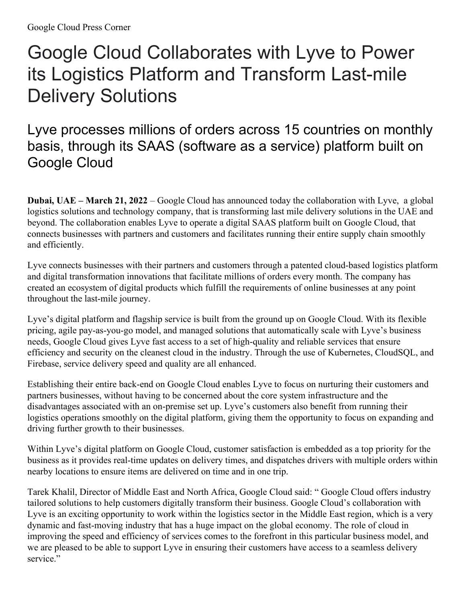## Google Cloud Collaborates with Lyve to Power its Logistics Platform and Transform Last-mile Delivery Solutions

Lyve processes millions of orders across 15 countries on monthly basis, through its SAAS (software as a service) platform built on Google Cloud

**Dubai, UAE – March 21, 2022** – Google Cloud has announced today the collaboration with Lyve, a global logistics solutions and technology company, that is transforming last mile delivery solutions in the UAE and beyond. The collaboration enables Lyve to operate a digital SAAS platform built on Google Cloud, that connects businesses with partners and customers and facilitates running their entire supply chain smoothly and efficiently.

Lyve connects businesses with their partners and customers through a patented cloud-based logistics platform and digital transformation innovations that facilitate millions of orders every month. The company has created an ecosystem of digital products which fulfill the requirements of online businesses at any point throughout the last-mile journey.

Lyve's digital platform and flagship service is built from the ground up on Google Cloud. With its flexible pricing, agile pay-as-you-go model, and managed solutions that automatically scale with Lyve's business needs, Google Cloud gives Lyve fast access to a set of high-quality and reliable services that ensure efficiency and security on the cleanest cloud in the industry. Through the use of Kubernetes, CloudSQL, and Firebase, service delivery speed and quality are all enhanced.

Establishing their entire back-end on Google Cloud enables Lyve to focus on nurturing their customers and partners businesses, without having to be concerned about the core system infrastructure and the disadvantages associated with an on-premise set up. Lyve's customers also benefit from running their logistics operations smoothly on the digital platform, giving them the opportunity to focus on expanding and driving further growth to their businesses.

Within Lyve's digital platform on Google Cloud, customer satisfaction is embedded as a top priority for the business as it provides real-time updates on delivery times, and dispatches drivers with multiple orders within nearby locations to ensure items are delivered on time and in one trip.

Tarek Khalil, Director of Middle East and North Africa, Google Cloud said: " Google Cloud offers industry tailored solutions to help customers digitally transform their business. Google Cloud's collaboration with Lyve is an exciting opportunity to work within the logistics sector in the Middle East region, which is a very dynamic and fast-moving industry that has a huge impact on the global economy. The role of cloud in improving the speed and efficiency of services comes to the forefront in this particular business model, and we are pleased to be able to support Lyve in ensuring their customers have access to a seamless delivery service."